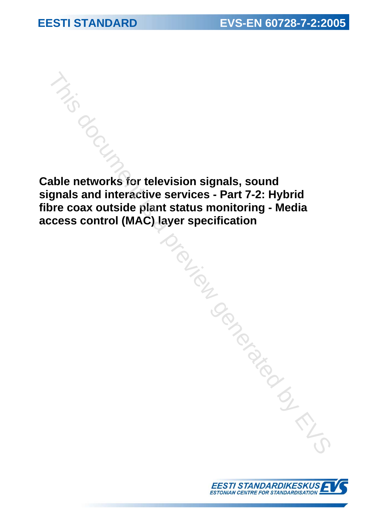**Cable networks for television signals, sound signals and interactive services - Part 7-2: Hybrid fibre coax outside plant status monitoring - Media access control (MAC) layer specification**  This document is a previous of the division signals, sound<br>gnals and interactive services - Part 7-2: Hybrid<br>yer specification<br>coss control (MAC) layer specification<br>and the division of the division of the division of the

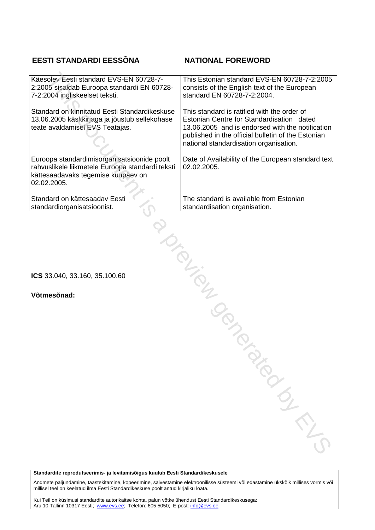# **EESTI STANDARDI EESSÕNA NATIONAL FOREWORD**

| Käesolev Eesti standard EVS-EN 60728-7-<br>2:2005 sisaldab Euroopa standardi EN 60728-<br>7-2:2004 ingliskeelset teksti.                             | This Estonian standard EVS-EN 60728-7-2:2005<br>consists of the English text of the European<br>standard EN 60728-7-2:2004.                                                                                                                  |  |
|------------------------------------------------------------------------------------------------------------------------------------------------------|----------------------------------------------------------------------------------------------------------------------------------------------------------------------------------------------------------------------------------------------|--|
| Standard on kinnitatud Eesti Standardikeskuse<br>13.06.2005 käskkirjaga ja jõustub sellekohase<br>teate avaldamisel EVS Teatajas.                    | This standard is ratified with the order of<br>Estonian Centre for Standardisation dated<br>13.06.2005 and is endorsed with the notification<br>published in the official bulletin of the Estonian<br>national standardisation organisation. |  |
| Euroopa standardimisorganisatsioonide poolt<br>rahvuslikele liikmetele Euroopa standardi teksti<br>kättesaadavaks tegemise kuupäev on<br>02.02.2005. | Date of Availability of the European standard text<br>02.02.2005.                                                                                                                                                                            |  |
| Standard on kättesaadav Eesti<br>standardiorganisatsioonist.                                                                                         | The standard is available from Estonian<br>standardisation organisation.                                                                                                                                                                     |  |
| Jrain                                                                                                                                                |                                                                                                                                                                                                                                              |  |
| ICS 33.040, 33.160, 35.100.60                                                                                                                        |                                                                                                                                                                                                                                              |  |
| Võtmesõnad:                                                                                                                                          |                                                                                                                                                                                                                                              |  |
|                                                                                                                                                      |                                                                                                                                                                                                                                              |  |
|                                                                                                                                                      |                                                                                                                                                                                                                                              |  |
|                                                                                                                                                      |                                                                                                                                                                                                                                              |  |
|                                                                                                                                                      |                                                                                                                                                                                                                                              |  |
|                                                                                                                                                      | PAROMER                                                                                                                                                                                                                                      |  |
|                                                                                                                                                      |                                                                                                                                                                                                                                              |  |

**Standardite reprodutseerimis- ja levitamisõigus kuulub Eesti Standardikeskusele** 

Andmete paljundamine, taastekitamine, kopeerimine, salvestamine elektroonilisse süsteemi või edastamine ükskõik millises vormis või millisel teel on keelatud ilma Eesti Standardikeskuse poolt antud kirjaliku loata.

Kui Teil on küsimusi standardite autorikaitse kohta, palun võtke ühendust Eesti Standardikeskusega: Aru 10 Tallinn 10317 Eesti; www.evs.ee; Telefon: 605 5050; E-post: info@evs.ee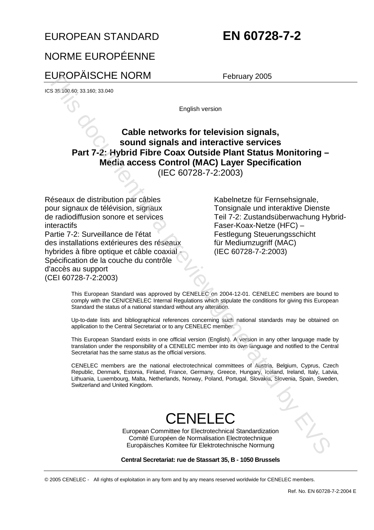# EUROPEAN STANDARD **EN 60728-7-2**

# NORME EUROPÉENNE

# EUROPÄISCHE NORM February 2005

ICS 35.100.60; 33.160; 33.040

English version

# **Cable networks for television signals, sound signals and interactive services Part 7-2: Hybrid Fibre Coax Outside Plant Status Monitoring – Media access Control (MAC) Layer Specification**

(IEC 60728-7-2:2003)

Réseaux de distribution par câbles pour signaux de télévision, signaux de radiodiffusion sonore et services interactifs Partie 7-2: Surveillance de l'état des installations extérieures des réseaux hybrides à fibre optique et câble coaxial Spécification de la couche du contrôle d'accès au support (CEI 60728-7-2:2003) EUROPAISCHE NORM February 2005<br>
Switchers and an archive to the control of the system of the system of the system of the system of the system of the system of the system of the system of the system of the system of the sy

 Kabelnetze für Fernsehsignale, Tonsignale und interaktive Dienste Teil 7-2: Zustandsüberwachung Hybrid-Faser-Koax-Netze (HFC) – Festlegung Steuerungsschicht für Mediumzugriff (MAC) (IEC 60728-7-2:2003)

This European Standard was approved by CENELEC on 2004-12-01. CENELEC members are bound to comply with the CEN/CENELEC Internal Regulations which stipulate the conditions for giving this European Standard the status of a national standard without any alteration.

Up-to-date lists and bibliographical references concerning such national standards may be obtained on application to the Central Secretariat or to any CENELEC member.

This European Standard exists in one official version (English). A version in any other language made by translation under the responsibility of a CENELEC member into its own language and notified to the Central Secretariat has the same status as the official versions.

CENELEC members are the national electrotechnical committees of Austria, Belgium, Cyprus, Czech Republic, Denmark, Estonia, Finland, France, Germany, Greece, Hungary, Iceland, Ireland, Italy, Latvia, Lithuania, Luxembourg, Malta, Netherlands, Norway, Poland, Portugal, Slovakia, Slovenia, Spain, Sweden,

# **CENELFC**

European Committee for Electrotechnical Standardization Comité Européen de Normalisation Electrotechnique Europäisches Komitee für Elektrotechnische Normung

**Central Secretariat: rue de Stassart 35, B - 1050 Brussels** 

© 2005 CENELEC - All rights of exploitation in any form and by any means reserved worldwide for CENELEC members.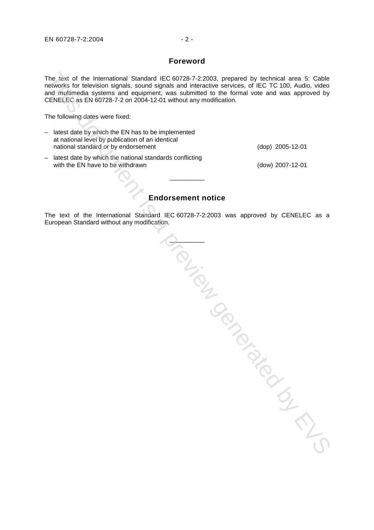The text of the International Standard IEC 60728-7-2:2003, prepared by technical area 5: Cable networks for television signals, sound signals and interactive services, of IEC TC 100, Audio, video and multimedia systems and equipment, was submitted to the formal vote and was approved by CENELEC as EN 60728-7-2 on 2004-12-01 without any modification.

The following dates were fixed:

| - latest date by which the EN has to be implemented<br>at national level by publication of an identical |                    |
|---------------------------------------------------------------------------------------------------------|--------------------|
| national standard or by endorsement                                                                     | $(dop)$ 2005-12-01 |
| - latest date by which the national standards conflicting<br>with the EN have to be withdrawn           | (dow) 2007-12-01   |

**Endorsement notice** 

\_\_\_\_\_\_\_\_\_\_

The text of the International Standard IEC 60728-7-2:2003 was approved by CENELEC as a European Standard without any modification.

CONSIGN OF THE CONSIGNATION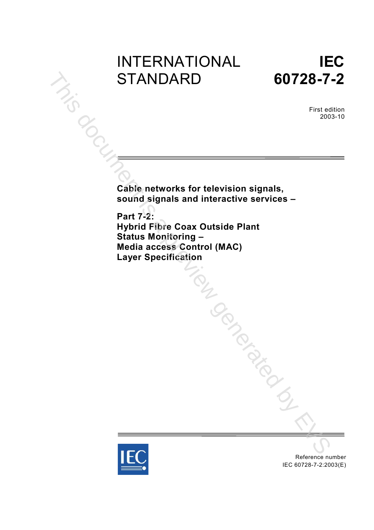# INTERNATIONAL STANDARD



First edition 2003-10

**Cable networks for television signals, sound signals and interactive services –**

**Part 7-2: Hybrid Fibre Coax Outside Plant Status Monitoring – Media access Control (MAC) Layer Specification** Tak document is a previous



Reference number IEC 60728-7-2:2003(E)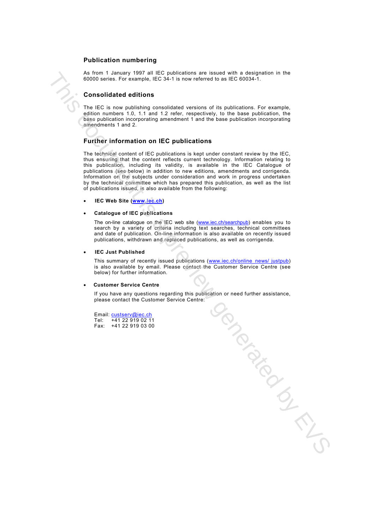### **Publication numbering**

As from 1 January 1997 all IEC publications are issued with a designation in the 60000 series. For example, IEC 34-1 is now referred to as IEC 60034-1.

### **Consolidated editions**

The IEC is now publishing consolidated versions of its publications. For example, edition numbers 1.0, 1.1 and 1.2 refer, respectively, to the base publication, the base publication incorporating amendment 1 and the base publication incorporating amendments 1 and 2.

### **Further information on IEC publications**

The technical content of IEC publications is kept under constant review by the IEC, thus ensuring that the content reflects current technology. Information relating to this publication, including its validity, is available in the IEC Catalogue of publications (see below) in addition to new editions, amendments and corrigenda. Information on the subjects under consideration and work in progress undertaken by the technical committee which has prepared this publication, as well as the list of publications issued, is also available from the following:

• **IEC Web Site (www.iec.ch)** 

### • **Catalogue of IEC publications**

The on-line catalogue on the IEC web site (www.iec.ch/searchpub) enables you to search by a variety of criteria including text searches, technical committees and date of publication. On-line information is also available on recently issued publications, withdrawn and replaced publications, as well as corrigenda.

• **IEC Just Published** 

This summary of recently issued publications (www.iec.ch/online\_news/ justpub) is also available by email. Please contact the Customer Service Centre (see below) for further information.

### • **Customer Service Centre**

If you have any questions regarding this publication or need further assistance, please contact the Customer Service Centre: Payan[t is](http://www.iec.ch/) a previously

Email: custserv@iec.ch Tel: +41 22 919 02 11<br>Fax: +41 22 919 03 00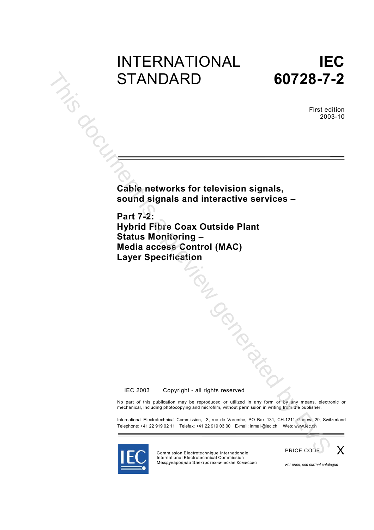# INTERNATIONAL<br>
STANDARD<br>
S **STANDARD**



First edition 2003-10

**Cable networks for television signals, sound signals and interactive services –**

**Part 7-2: Hybrid Fibre Coax Outside Plant Status Monitoring – Media access Control (MAC) Layer Specification** TON DOCKS

© IEC 2003 - Copyright - all rights reserved

No part of this publication may be reproduced or utilized in any form or by any means, electronic or mechanical, including photocopying and microfilm, without permission in writing from the publisher.

International Electrotechnical Commission, 3, rue de Varembé, PO Box 131, CH-1211 Geneva 20, Switzerland Telephone: +41 22 919 02 11 Telefax: +41 22 919 03 00 E-mail: inmail@iec.ch Web: www.iec.ch



PRICE CODE Commission Electrotechnique Internationale International Electrotechnical Commission Международная Электротехническая Комиссия



*For price, see current catalogue*

X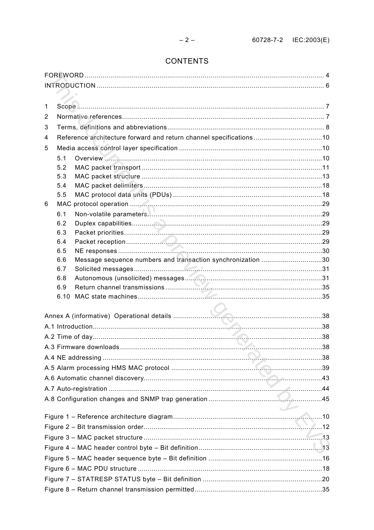# **CONTENTS**

| 1 |            |                                                                    |  |
|---|------------|--------------------------------------------------------------------|--|
| 2 |            |                                                                    |  |
| 3 |            |                                                                    |  |
| 4 |            | Reference architecture forward and return channel specifications10 |  |
| 5 |            |                                                                    |  |
|   | 5.1        |                                                                    |  |
|   | 5.2        |                                                                    |  |
|   | 5.3        |                                                                    |  |
|   | 5.4        |                                                                    |  |
|   | 5.5        |                                                                    |  |
| 6 |            |                                                                    |  |
|   | 6.1        |                                                                    |  |
|   | 6.2        |                                                                    |  |
|   | 6.3        |                                                                    |  |
|   | 6.4<br>6.5 |                                                                    |  |
|   | 6.6        | Message sequence numbers and transaction synchronization 30        |  |
|   | 6.7        |                                                                    |  |
|   | 6.8        |                                                                    |  |
|   | 6.9        |                                                                    |  |
|   | 6.10       |                                                                    |  |
|   |            |                                                                    |  |
|   |            |                                                                    |  |
|   |            |                                                                    |  |
|   |            |                                                                    |  |
|   |            |                                                                    |  |
|   |            |                                                                    |  |
|   |            |                                                                    |  |
|   |            |                                                                    |  |
|   |            |                                                                    |  |
|   |            |                                                                    |  |
|   |            |                                                                    |  |
|   |            |                                                                    |  |
|   |            |                                                                    |  |
|   |            |                                                                    |  |
|   |            |                                                                    |  |
|   |            |                                                                    |  |
|   |            |                                                                    |  |
|   |            |                                                                    |  |
|   |            |                                                                    |  |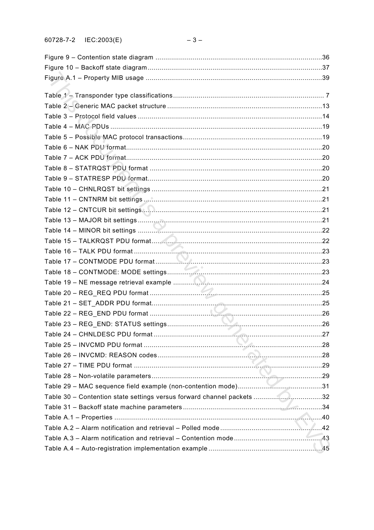| Table 30 - Contention state settings versus forward channel packets 32 |  |
|------------------------------------------------------------------------|--|
|                                                                        |  |
|                                                                        |  |
|                                                                        |  |
|                                                                        |  |
|                                                                        |  |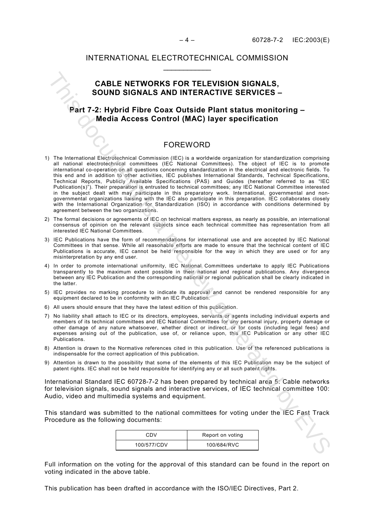## **CABLE NETWORKS FOR TELEVISION SIGNALS, SOUND SIGNALS AND INTERACTIVE SERVICES –**

## **Part 7-2: Hybrid Fibre Coax Outside Plant status monitoring – Media Access Control (MAC) layer specification**

## FOREWORD

- 1) The International Electrotechnical Commission (IEC) is a worldwide organization for standardization comprising all national electrotechnical committees (IEC National Committees). The object of IEC is to promote international co-operation on all questions concerning standardization in the electrical and electronic fields. To this end and in addition to other activities, IEC publishes International Standards, Technical Specifications, Technical Reports, Publicly Available Specifications (PAS) and Guides (hereafter referred to as "IEC Publication(s)"). Their preparation is entrusted to technical committees; any IEC National Committee interested in the subject dealt with may participate in this preparatory work. International, governmental and nongovernmental organizations liaising with the IEC also participate in this preparation. IEC collaborates closely with the International Organization for Standardization (ISO) in accordance with conditions determined by agreement between the two organizations. CABLE NETWORKS FOR TELEVISION SIGNALS,<br>SOUND SIGNALS AND INTERACTIVE SERVICES –<br>Part 7-2: Hybrid Fibre Coax Outside Plant status monitoring –<br>Media Access Control (MAC) layer specification<br>interactions (methods access Con
- 2) The formal decisions or agreements of IEC on technical matters express, as nearly as possible, an international consensus of opinion on the relevant subjects since each technical committee has representation from all interested IEC National Committees.
- 3) IEC Publications have the form of recommendations for international use and are accepted by IEC National Committees in that sense. While all reasonable efforts are made to ensure that the technical content of IEC Publications is accurate, IEC cannot be held responsible for the way in which they are used or for any misinterpretation by any end user.
- 4) In order to promote international uniformity, IEC National Committees undertake to apply IEC Publications transparently to the maximum extent possible in their national and regional publications. Any divergence between any IEC Publication and the corresponding national or regional publication shall be clearly indicated in the latter.
- 5) IEC provides no marking procedure to indicate its approval and cannot be rendered responsible for any equipment declared to be in conformity with an IEC Publication.
- 6) All users should ensure that they have the latest edition of this publication.
- 7) No liability shall attach to IEC or its directors, employees, servants or agents including individual experts and members of its technical committees and IEC National Committees for any personal injury, property damage or other damage of any nature whatsoever, whether direct or indirect, or for costs (including legal fees) and expenses arising out of the publication, use of, or reliance upon, this IEC Publication or any other IEC Publications.
- 8) Attention is drawn to the Normative references cited in this publication. Use of the referenced publications is indispensable for the correct application of this publication.
- 9) Attention is drawn to the possibility that some of the elements of this IEC Publication may be the subject of patent rights. IEC shall not be held responsible for identifying any or all such patent rights.

International Standard IEC 60728-7-2 has been prepared by technical area 5: Cable networks for television signals, sound signals and interactive services, of IEC technical committee 100: Audio, video and multimedia systems and equipment.

This standard was submitted to the national committees for voting under the IEC Fast Track Procedure as the following documents:

| CDV         | Report on voting |
|-------------|------------------|
| 100/577/CDV | 100/684/RVC      |

Full information on the voting for the approval of this standard can be found in the report on voting indicated in the above table.

This publication has been drafted in accordance with the ISO/IEC Directives, Part 2.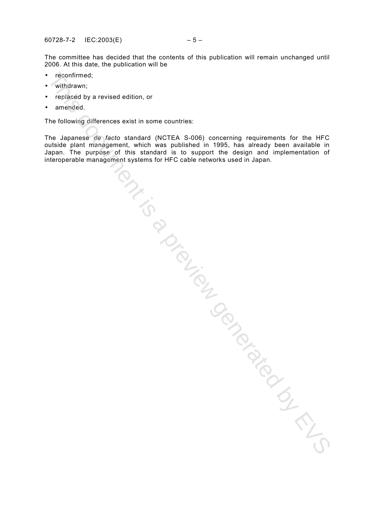The committee has decided that the contents of this publication will remain unchanged until 2006. At this date, the publication will be

- reconfirmed;
- withdrawn;
- replaced by a revised edition, or
- amended.

The following differences exist in some countries:

The Japanese *de facto* standard (NCTEA S-006) concerning requirements for the HFC outside plant management, which was published in 1995, has already been available in Japan. The purpose of this standard is to support the design and implementation of interoperable management, which was vexices for the design and impurimental control of the cable networks used in Japan.<br>Management is a property systems for HFC cable networks used in Japan.<br>This document is a preview gen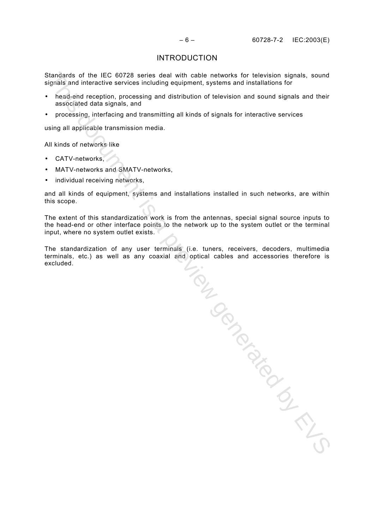### INTRODUCTION

Standards of the IEC 60728 series deal with cable networks for television signals, sound signals and interactive services including equipment, systems and installations for

- head-end reception, processing and distribution of television and sound signals and their associated data signals, and
- processing, interfacing and transmitting all kinds of signals for interactive services

using all applicable transmission media.

All kinds of networks like

- CATV-networks,
- MATV-networks and SMATV-networks,
- individual receiving networks,

and all kinds of equipment, systems and installations installed in such networks, are within this scope.

The extent of this standardization work is from the antennas, special signal source inputs to the head-end or other interface points to the network up to the system outlet or the terminal input, where no system outlet exists.

The standardization of any user terminals (i.e. tuners, receivers, decoders, multimedia terminals, etc.) as well as any coaxial and optical cables and accessories therefore is

terminals, etc.) as well as any coaxial and upway your with the secture of the secture of the secture of the secture of the secture of the secture of the secture of the secture of the secture of the secture of the secture